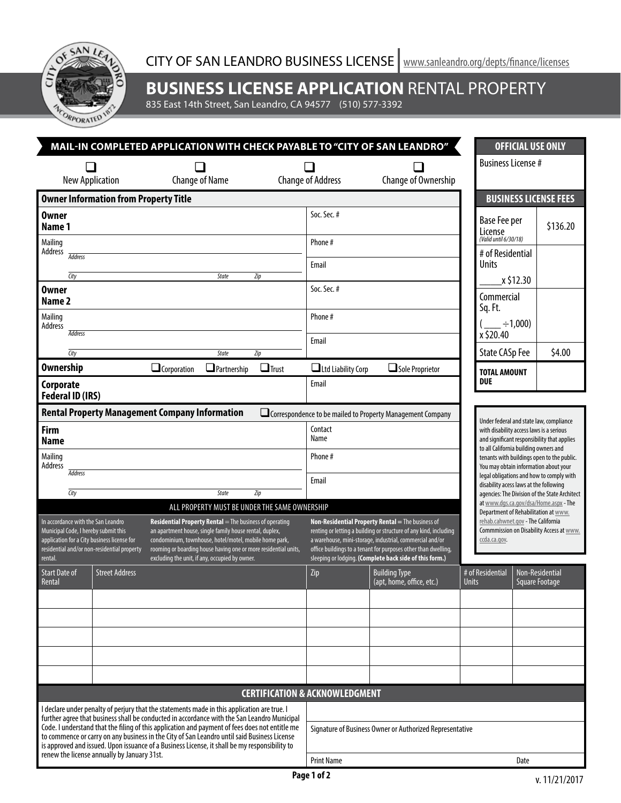$\alpha$ SAN  $\widehat{5}$ ACORPORA

**BUSINESS LICENSE APPLICATION** RENTAL PROPERTY

835 East 14th Street, San Leandro, CA 94577 (510) 577-3392

| MAIL-IN COMPLETED APPLICATION WITH CHECK PAYABLE TO "CITY OF SAN LEANDRO"                                                                                                                                                                                                                                                                                                                                                            |                        |                                                                                                                                                                                                                                                                                                |                                                          |                                                                                                                                                                                                                                                      |                                                                                                                                        |                                                                                                                                    | <b>OFFICIAL USE ONLY</b>                                                                                                     |                                                                                        |  |  |
|--------------------------------------------------------------------------------------------------------------------------------------------------------------------------------------------------------------------------------------------------------------------------------------------------------------------------------------------------------------------------------------------------------------------------------------|------------------------|------------------------------------------------------------------------------------------------------------------------------------------------------------------------------------------------------------------------------------------------------------------------------------------------|----------------------------------------------------------|------------------------------------------------------------------------------------------------------------------------------------------------------------------------------------------------------------------------------------------------------|----------------------------------------------------------------------------------------------------------------------------------------|------------------------------------------------------------------------------------------------------------------------------------|------------------------------------------------------------------------------------------------------------------------------|----------------------------------------------------------------------------------------|--|--|
|                                                                                                                                                                                                                                                                                                                                                                                                                                      | <b>New Application</b> | <b>Change of Name</b>                                                                                                                                                                                                                                                                          |                                                          | <b>Change of Address</b>                                                                                                                                                                                                                             | Change of Ownership                                                                                                                    |                                                                                                                                    | <b>Business License #</b>                                                                                                    |                                                                                        |  |  |
| <b>Owner Information from Property Title</b>                                                                                                                                                                                                                                                                                                                                                                                         |                        |                                                                                                                                                                                                                                                                                                |                                                          |                                                                                                                                                                                                                                                      |                                                                                                                                        |                                                                                                                                    |                                                                                                                              | <b>BUSINESS LICENSE FEES</b>                                                           |  |  |
| <b>Owner</b><br>Name 1                                                                                                                                                                                                                                                                                                                                                                                                               |                        |                                                                                                                                                                                                                                                                                                |                                                          | Soc. Sec. #                                                                                                                                                                                                                                          |                                                                                                                                        | License                                                                                                                            | Base Fee per<br>(Valid until 6/30/18)                                                                                        | \$136.20                                                                               |  |  |
| Mailing<br>Address<br><b>Address</b>                                                                                                                                                                                                                                                                                                                                                                                                 |                        |                                                                                                                                                                                                                                                                                                |                                                          | Phone #<br>Email                                                                                                                                                                                                                                     |                                                                                                                                        | <b>Units</b>                                                                                                                       | # of Residential                                                                                                             |                                                                                        |  |  |
| City                                                                                                                                                                                                                                                                                                                                                                                                                                 |                        | State                                                                                                                                                                                                                                                                                          | Zip                                                      | Soc. Sec. #                                                                                                                                                                                                                                          |                                                                                                                                        |                                                                                                                                    | x \$12.30                                                                                                                    |                                                                                        |  |  |
| <b>Owner</b><br>Name <sub>2</sub>                                                                                                                                                                                                                                                                                                                                                                                                    |                        |                                                                                                                                                                                                                                                                                                |                                                          |                                                                                                                                                                                                                                                      |                                                                                                                                        | Sq. Ft.                                                                                                                            | Commercial                                                                                                                   |                                                                                        |  |  |
| Mailing<br>Address<br><b>Address</b>                                                                                                                                                                                                                                                                                                                                                                                                 |                        |                                                                                                                                                                                                                                                                                                |                                                          | Phone#                                                                                                                                                                                                                                               |                                                                                                                                        | x \$20.40                                                                                                                          | $-+1,000$                                                                                                                    |                                                                                        |  |  |
| City                                                                                                                                                                                                                                                                                                                                                                                                                                 |                        | State                                                                                                                                                                                                                                                                                          | Zip                                                      | Email                                                                                                                                                                                                                                                |                                                                                                                                        |                                                                                                                                    | <b>State CASp Fee</b>                                                                                                        | \$4.00                                                                                 |  |  |
| <b>Ownership</b>                                                                                                                                                                                                                                                                                                                                                                                                                     |                        | <b>Q</b> Corporation<br>$\Box$ Partnership                                                                                                                                                                                                                                                     | $\Box$ Trust                                             | $\Box$ Ltd Liability Corp<br>Email                                                                                                                                                                                                                   | Sole Proprietor                                                                                                                        | <b>DUE</b>                                                                                                                         | <b>TOTAL AMOUNT</b>                                                                                                          |                                                                                        |  |  |
| Corporate<br><b>Federal ID (IRS)</b>                                                                                                                                                                                                                                                                                                                                                                                                 |                        |                                                                                                                                                                                                                                                                                                |                                                          |                                                                                                                                                                                                                                                      |                                                                                                                                        |                                                                                                                                    |                                                                                                                              |                                                                                        |  |  |
|                                                                                                                                                                                                                                                                                                                                                                                                                                      |                        | <b>Rental Property Management Company Information</b>                                                                                                                                                                                                                                          |                                                          |                                                                                                                                                                                                                                                      | Correspondence to be mailed to Property Management Company                                                                             |                                                                                                                                    |                                                                                                                              |                                                                                        |  |  |
| <b>Firm</b><br><b>Name</b>                                                                                                                                                                                                                                                                                                                                                                                                           |                        |                                                                                                                                                                                                                                                                                                | Contact<br>Name                                          |                                                                                                                                                                                                                                                      |                                                                                                                                        | Under federal and state law, compliance<br>with disability access laws is a serious<br>and significant responsibility that applies |                                                                                                                              |                                                                                        |  |  |
| Mailing<br>Address<br><b>Address</b>                                                                                                                                                                                                                                                                                                                                                                                                 |                        |                                                                                                                                                                                                                                                                                                |                                                          | Phone #                                                                                                                                                                                                                                              |                                                                                                                                        |                                                                                                                                    | to all California building owners and<br>tenants with buildings open to the public.<br>You may obtain information about your |                                                                                        |  |  |
|                                                                                                                                                                                                                                                                                                                                                                                                                                      |                        |                                                                                                                                                                                                                                                                                                | Email                                                    |                                                                                                                                                                                                                                                      |                                                                                                                                        | legal obligations and how to comply with<br>disability acess laws at the following                                                 |                                                                                                                              |                                                                                        |  |  |
| <b>City</b><br>Zip<br>State<br>ALL PROPERTY MUST BE UNDER THE SAME OWNERSHIP                                                                                                                                                                                                                                                                                                                                                         |                        |                                                                                                                                                                                                                                                                                                |                                                          |                                                                                                                                                                                                                                                      |                                                                                                                                        |                                                                                                                                    |                                                                                                                              | agencies: The Division of the State Architect<br>at www.dgs.ca.gov/dsa/Home.aspx - The |  |  |
| In accordance with the San Leandro<br><b>Residential Property Rental</b> $=$ The business of operating<br>Municipal Code, I hereby submit this<br>an apartment house, single family house rental, duplex,<br>application for a City business license for<br>condominium, townhouse, hotel/motel, mobile home park,<br>residential and/or non-residential property<br>rooming or boarding house having one or more residential units, |                        |                                                                                                                                                                                                                                                                                                |                                                          | Non-Residential Property Rental = The business of<br>renting or letting a building or structure of any kind, including<br>a warehouse, mini-storage, industrial, commercial and/or<br>office buildings to a tenant for purposes other than dwelling, | Department of Rehabilitation at www.<br>rehab.cahwnet.gov - The California<br>Commmission on Disability Access at www.<br>ccda.ca.gov. |                                                                                                                                    |                                                                                                                              |                                                                                        |  |  |
| rental.                                                                                                                                                                                                                                                                                                                                                                                                                              |                        | excluding the unit, if any, occupied by owner.                                                                                                                                                                                                                                                 |                                                          |                                                                                                                                                                                                                                                      | sleeping or lodging. (Complete back side of this form.)                                                                                |                                                                                                                                    |                                                                                                                              |                                                                                        |  |  |
| <b>Start Date of</b><br>Rental                                                                                                                                                                                                                                                                                                                                                                                                       | <b>Street Address</b>  |                                                                                                                                                                                                                                                                                                |                                                          | Zip                                                                                                                                                                                                                                                  | <b>Building Type</b><br>(apt, home, office, etc.)                                                                                      | # of Residential<br><b>Units</b>                                                                                                   |                                                                                                                              | Non-Residential<br><b>Square Footage</b>                                               |  |  |
|                                                                                                                                                                                                                                                                                                                                                                                                                                      |                        |                                                                                                                                                                                                                                                                                                |                                                          |                                                                                                                                                                                                                                                      |                                                                                                                                        |                                                                                                                                    |                                                                                                                              |                                                                                        |  |  |
|                                                                                                                                                                                                                                                                                                                                                                                                                                      |                        |                                                                                                                                                                                                                                                                                                |                                                          |                                                                                                                                                                                                                                                      |                                                                                                                                        |                                                                                                                                    |                                                                                                                              |                                                                                        |  |  |
|                                                                                                                                                                                                                                                                                                                                                                                                                                      |                        |                                                                                                                                                                                                                                                                                                |                                                          |                                                                                                                                                                                                                                                      |                                                                                                                                        |                                                                                                                                    |                                                                                                                              |                                                                                        |  |  |
|                                                                                                                                                                                                                                                                                                                                                                                                                                      |                        |                                                                                                                                                                                                                                                                                                |                                                          |                                                                                                                                                                                                                                                      |                                                                                                                                        |                                                                                                                                    |                                                                                                                              |                                                                                        |  |  |
|                                                                                                                                                                                                                                                                                                                                                                                                                                      |                        |                                                                                                                                                                                                                                                                                                |                                                          |                                                                                                                                                                                                                                                      |                                                                                                                                        |                                                                                                                                    |                                                                                                                              |                                                                                        |  |  |
|                                                                                                                                                                                                                                                                                                                                                                                                                                      |                        |                                                                                                                                                                                                                                                                                                |                                                          |                                                                                                                                                                                                                                                      |                                                                                                                                        |                                                                                                                                    |                                                                                                                              |                                                                                        |  |  |
| <b>CERTIFICATION &amp; ACKNOWLEDGMENT</b><br>I declare under penalty of perjury that the statements made in this application are true. I<br>further agree that business shall be conducted in accordance with the San Leandro Municipal                                                                                                                                                                                              |                        |                                                                                                                                                                                                                                                                                                |                                                          |                                                                                                                                                                                                                                                      |                                                                                                                                        |                                                                                                                                    |                                                                                                                              |                                                                                        |  |  |
|                                                                                                                                                                                                                                                                                                                                                                                                                                      |                        | Code. I understand that the filing of this application and payment of fees does not entitle me<br>to commence or carry on any business in the City of San Leandro until said Business License<br>is approved and issued. Upon issuance of a Business License, it shall be my responsibility to | Signature of Business Owner or Authorized Representative |                                                                                                                                                                                                                                                      |                                                                                                                                        |                                                                                                                                    |                                                                                                                              |                                                                                        |  |  |
| renew the license annually by January 31st.                                                                                                                                                                                                                                                                                                                                                                                          |                        |                                                                                                                                                                                                                                                                                                |                                                          | <b>Print Name</b>                                                                                                                                                                                                                                    |                                                                                                                                        |                                                                                                                                    | Date                                                                                                                         |                                                                                        |  |  |